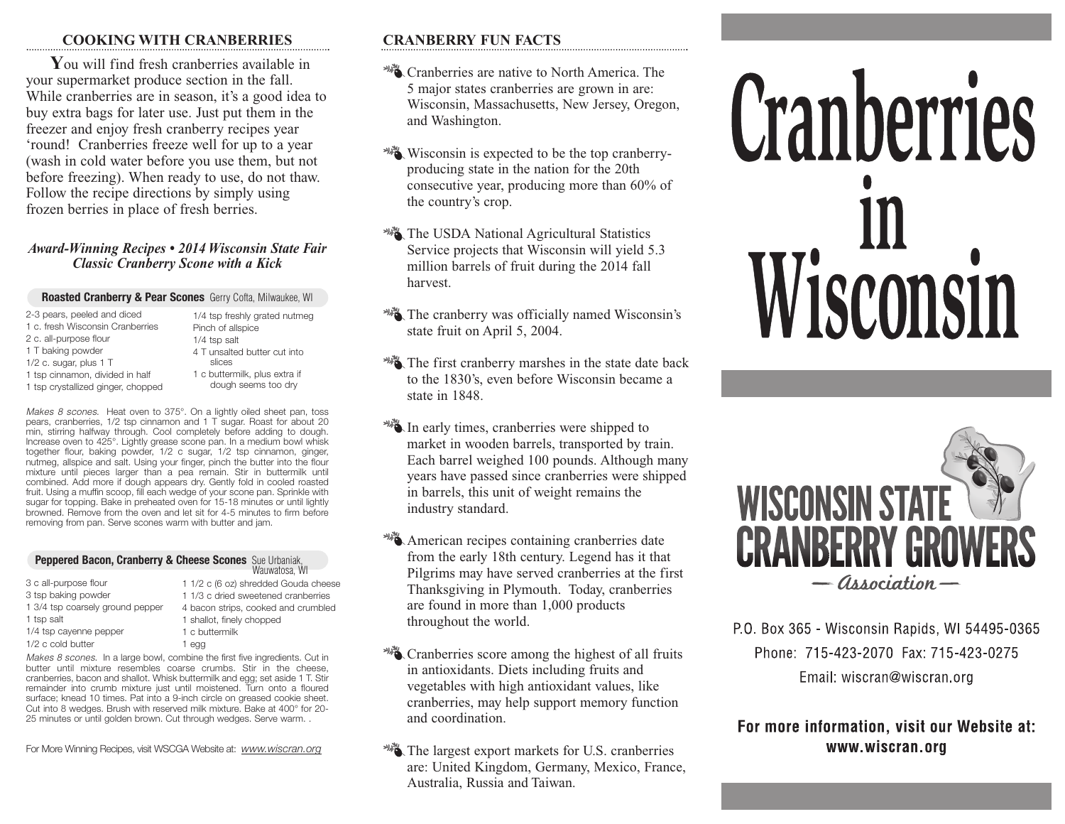## **COOKING WITH CRANBERRIES**

**Y**ou will find fresh cranberries available in your supermarket produce section in the fall. While cranberries are in season, it's a good idea to buy extra bags for later use. Just put them in the freezer and enjoy fresh cranberry recipes year 'round! Cranberries freeze well for up to a year (wash in cold water before you use them, but not before freezing). When ready to use, do not thaw. Follow the recipe directions by simply using frozen berries in place of fresh berries.

## *Award-Winning Recipes • 2014 Wisconsin State Fair Classic Cranberry Scone with a Kick*

### **Roasted Cranberry & Pear Scones** Gerry Cofta, Milwaukee, WI

slices

dough seems too dry

2-3 pears, peeled and diced 1 c. fresh Wisconsin Cranberries 2 c. all-purpose flour 1 T baking powder 1/2 c. sugar, plus 1 T 1 tsp cinnamon, divided in half 1 tsp crystallized ginger, chopped 1/4 tsp freshly grated nutmeg Pinch of allspice 1/4 tsp salt 4 T unsalted butter cut into 1 c buttermilk, plus extra if

*Makes 8 scones*. Heat oven to 375°. On a lightly oiled sheet pan, toss pears, cranberries, 1/2 tsp cinnamon and 1 T sugar. Roast for about 20 min, stirring halfway through. Cool completely before adding to dough. Increase oven to 425°. Lightly grease scone pan. In a medium bowl whisk together flour, baking powder, 1/2 c sugar, 1/2 tsp cinnamon, ginger, nutmeg, allspice and salt. Using your finger, pinch the butter into the flour mixture until pieces larger than a pea remain. Stir in buttermilk until combined. Add more if dough appears dry. Gently fold in cooled roasted fruit. Using a muffin scoop, fill each wedge of your scone pan. Sprinkle with sugar for topping. Bake in preheated oven for 15-18 minutes or until lightly browned. Remove from the oven and let sit for 4-5 minutes to firm before removing from pan. Serve scones warm with butter and jam.

#### **Peppered Bacon, Cranberry & Cheese Scones** Sue Urbaniak, Wauwatosa, WI

| 3 c all-purpose flour            | 1 1/2 c (6 oz) shredded Gouda cheese |
|----------------------------------|--------------------------------------|
| 3 tsp baking powder              | 1 1/3 c dried sweetened cranberries  |
| 1 3/4 tsp coarsely ground pepper | 4 bacon strips, cooked and crumbled  |
| 1 tsp salt                       | 1 shallot, finely chopped            |
| 1/4 tsp cayenne pepper           | 1 c buttermilk                       |
| 1/2 c cold butter                | 1 egg                                |

*Makes 8 scones*. In a large bowl, combine the first five ingredients. Cut in butter until mixture resembles coarse crumbs. Stir in the cheese, cranberries, bacon and shallot. Whisk buttermilk and egg; set aside 1 T. Stir remainder into crumb mixture just until moistened. Turn onto a floured surface; knead 10 times. Pat into a 9-inch circle on greased cookie sheet. Cut into 8 wedges. Brush with reserved milk mixture. Bake at 400° for 20- 25 minutes or until golden brown. Cut through wedges. Serve warm. .

For More Winning Recipes, visit WSCGA Website at: *www.wiscran.org*

# **CRANBERRY FUN FACTS**

- <sup>28</sup>. Cranberries are native to North America. The 5 major states cranberries are grown in are: Wisconsin, Massachusetts, New Jersey, Oregon, and Washington.
- Wisconsin is expected to be the top cranberryproducing state in the nation for the 20th consecutive year, producing more than 60% of the country's crop.
- **WA** The USDA National Agricultural Statistics Service projects that Wisconsin will yield 5.3 million barrels of fruit during the 2014 fall harvest.
- **WE** The cranberry was officially named Wisconsin's state fruit on April 5, 2004.
- The first cranberry marshes in the state date back to the 1830's, even before Wisconsin became a state in 1848.
- In early times, cranberries were shipped to market in wooden barrels, transported by train. Each barrel weighed 100 pounds. Although many years have passed since cranberries were shipped in barrels, this unit of weight remains the industry standard.
- American recipes containing cranberries date from the early 18th century. Legend has it that Pilgrims may have served cranberries at the first Thanksgiving in Plymouth. Today, cranberries are found in more than 1,000 products throughout the world.
- Cranberries score among the highest of all fruits in antioxidants. Diets including fruits and vegetables with high antioxidant values, like cranberries, may help support memory function and coordination.
- The largest export markets for U.S. cranberries are: United Kingdom, Germany, Mexico, France, Australia, Russia and Taiwan.

# Cranberries Wisconsin



P.O. Box 365 - Wisconsin Rapids, WI 54495-0365 Phone: 715-423-2070 Fax: 715-423-0275 Email: wiscran@wiscran.org

# For more information, visit our Website at: www.wiscran.org